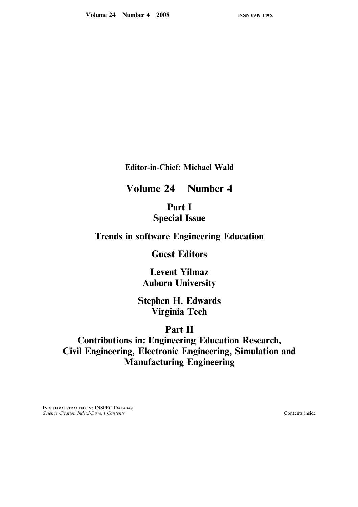Editor-in-Chief: Michael Wald

Volume 24 Number 4

Part I Special Issue

Trends in software Engineering Education

Guest Editors

Levent Yilmaz Auburn University

Stephen H. Edwards Virginia Tech

# Part II

Contributions in: Engineering Education Research, Civil Engineering, Electronic Engineering, Simulation and Manufacturing Engineering

Indexed/abstracted in: INSPEC Database Science Citation Index/Current Contents........................................................ Contents inside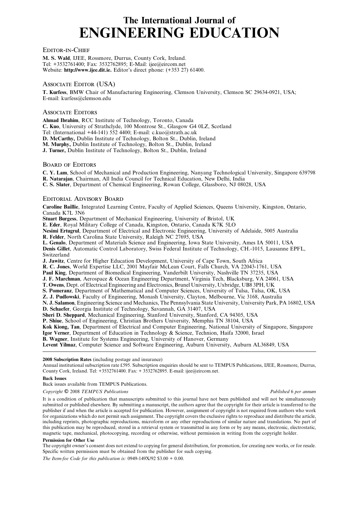# The International Journal of ENGINEERING EDUCATION

## EDITOR-IN-CHIEF

M. S. Wald, IJEE, Rossmore, Durrus, County Cork, Ireland. Tel: +3532761400; Fax: 3532762895; E-Mail: ijee@eircom.net Website: http://www.ijee.dit.ie. Editor's direct phone: (+353 27) 61400.

### Associate Editor (USA)

T. Kurfess, BMW Chair of Manufacturing Engineering, Clemson University, Clemson SC 29634-0921, USA; E-mail: kurfess@clemson.edu

## Associate Editors

Ahmad Ibrahim, RCC Institute of Technology, Toronto, Canada C. Kuo, University of Strathclyde, 100 Montrose St., Glasgow G4 0LZ, Scotland Tel: (International +44-141) 552 4400; E-mail: c.kuo@strath.ac.uk D. McCarthy, Dublin Institute of Technology, Bolton St., Dublin, Ireland M. Murphy, Dublin Institute of Technology, Bolton St., Dublin, Ireland J. Turner, Dublin Institute of Technology, Bolton St., Dublin, Ireland

## BOARD OF EDITORS

C. Y. Lam, School of Mechanical and Production Engineering, Nanyang Technological University, Singapore 639798

R. Natarajan, Chairman, All India Council for Technical Education, New Delhi, India

C. S. Slater, Department of Chemical Engineering, Rowan College, Glassboro, NJ 08028, USA

# Editorial Advisory Board

Caroline Baillie, Integrated Learning Centre, Faculty of Applied Sciences, Queens University, Kingston, Ontario, Canada K7L 3N6

Stuart Burgess, Department of Mechanical Engineering, University of Bristol, UK

E. Eder, Royal Military College of Canada, Kingston, Ontario, Canada K7K 5LO

Nesimi Ertugrul, Department of Electrical and Electronic Engineering, University of Adelaide, 5005 Australia

R. Felder, North Carolina State University, Raleigh NC 27695, USA

L. Genalo, Department of Materials Science and Engineering, Iowa State University, Ames IA 50011, USA Denis Gillet, Automatic Control Laboratory, Swiss Federal Institute of Technology, CH.-1015, Lausanne EPFL, Switzerland

J. Jawitz, Centre for Higher Education Development, University of Cape Town, South Africa

R. C. Jones, World Expertise LLC, 2001 Mayfair McLean Court, Falls Church, VA 22043-1761, USA

Paul King, Department of Biomedical Engineering, Vanderbilt University, Nashville TN 37235, USA

J. F. Marchman, Aerospace & Ocean Engineering Department, Virginia Tech, Blacksburg, VA 24061, USA

T. Owens, Dept. of Electrical Engineering and Electronics, Brunel University, Uxbridge, UB8 3PH, UK

S. Pomeranz, Department of Mathematical and Computer Sciences, University of Tulsa, Tulsa, OK, USA

Z. J. Pudlowski, Faculty of Engineering, Monash University, Clayton, Melbourne, Vic 3168, Australia

N. J. Salamon, Engineering Science and Mechanics, The Pennsylvania State University, University Park, PA 16802, USA

D. Schaefer, Georgia Institute of Technology, Savannah, GA 31407, USA

Sheri D. Sheppard, Mechanical Engineering, Stanford University, Stanford, CA 94305, USA P. Shiue, School of Engineering, Christian Brothers University, Memphis TN 38104, USA

Kok Kiong, Tan, Department of Electrical and Computer Engineering, National University of Singapore, Singapore

Igor Verner, Department of Education in Technology & Science, Technion, Haifa 32000, Israel

B. Wagner, Institute for Systems Engineering, University of Hanover, Germany

Levent Yilmaz, Computer Science and Software Engineering, Auburn University, Auburn AL36849, USA

#### 2008 Subscription Rates (including postage and insurance)

Annual institutional subscription rate £595. Subscription enquiries should be sent to TEMPUS Publications, IJEE, Rossmore, Durrus, County Cork, Ireland. Tel: +3532761400. Fax: + 3532762895. E-mail: ijee@eircom.net.

#### Back Issues

Back issues available from TEMPUS Publications.

Copyright  $\oslash$  2008 TEMPUS Publications **Published 6 per annum** 

It is a condition of publication that manuscripts submitted to this journal have not been published and will not be simultaneously submitted or published elsewhere. By submitting a manuscript, the authors agree that the copyright for their article is transferred to the publisher if and when the article is accepted for publication. However, assignment of copyright is not required from authors who work for organizations which do not permit such assignment. The copyright covers the exclusive rights to reproduce and distribute the article, including reprints, photographic reproductions, microform or any other reproductions of similar nature and translations. No part of this publication may be reproduced, stored in a retrieval system or transmitted in any form or by any means, electronic, electrostatic, magnetic tape, mechanical, photocopying, recording or otherwise, without permission in writing from the copyright holder.

#### Permission for Other Use

The copyright owner's consent does not extend to copying for general distribution, for promotion, for creating new works, or for resale. Specific written permission must be obtained from the publisher for such copying.

The Item-fee Code for this publication is:  $0949-149X/92$  \$3.00 + 0.00.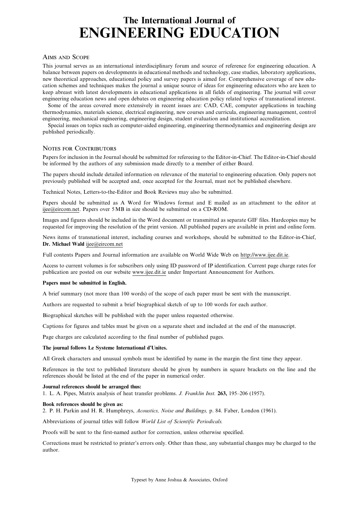# The International Journal of ENGINEERING EDUCATION

# Aims and Scope

This journal serves as an international interdisciplinary forum and source of reference for engineering education. A balance between papers on developments in educational methods and technology, case studies, laboratory applications, new theoretical approaches, educational policy and survey papers is aimed for. Comprehensive coverage of new education schemes and techniques makes the journal a unique source of ideas for engineering educators who are keen to keep abreast with latest developments in educational applications in all fields of engineering. The journal will cover engineering education news and open debates on engineering education policy related topics of transnational interest.

Some of the areas covered more extensively in recent issues are: CAD, CAE, computer applications in teaching thermodynamics, materials science, electrical engineering, new courses and curricula, engineering management, control engineering, mechanical engineering, engineering design, student evaluation and institutional accreditation.

Special issues on topics such as computer-aided engineering, engineering thermodynamics and engineering design are published periodically.

#### NOTES FOR CONTRIBUTORS

Papers for inclusion in the Journal should be submitted for refereeing to the Editor-in-Chief. The Editor-in-Chief should be informed by the authors of any submission made directly to a member of either Board.

The papers should include detailed information on relevance of the material to engineering education. Only papers not previously published will be accepted and, once accepted for the Journal, must not be published elsewhere.

Technical Notes, Letters-to-the-Editor and Book Reviews may also be submitted.

Papers should be submitted as A Word for Windows format and E mailed as an attachment to the editor at ijee@eircom.net. Papers over 5MB in size should be submitted on a CD-ROM.

Images and figures should be included in the Word document or transmitted as separate GIF files. Hardcopies may be requested for improving the resolution of the print version. All published papers are available in print and online form.

News items of transnational interest, including courses and workshops, should be submitted to the Editor-in-Chief, Dr. Michael Wald ijee@eircom.net

Full contents Papers and Journal information are available on World Wide Web on http://www.ijee.dit.ie.

Access to current volumes is for subscribers only using ID password of IP identification. Current page charge rates for publication are posted on our website www.ijee.dit.ie under Important Announcement for Authors.

#### Papers must be submitted in English.

A brief summary (not more than 100 words) of the scope of each paper must be sent with the manuscript.

Authors are requested to submit a brief biographical sketch of up to 100 words for each author.

Biographical sketches will be published with the paper unless requested otherwise.

Captions for figures and tables must be given on a separate sheet and included at the end of the manuscript.

Page charges are calculated according to the final number of published pages.

#### The journal follows Le Systeme International d'Unites.

All Greek characters and unusual symbols must be identified by name in the margin the first time they appear.

References in the text to published literature should be given by numbers in square brackets on the line and the references should be listed at the end of the paper in numerical order.

#### Journal references should be arranged thus:

1. L. A. Pipes, Matrix analysis of heat transfer problems. J. Franklin Inst. 263, 195-206 (1957).

#### Book references should be given as:

2. P. H. Parkin and H. R. Humphreys, Acoustics, Noise and Buildings, p. 84. Faber, London (1961).

Abbreviations of journal titles will follow World List of Scientific Periodicals.

Proofs will be sent to the first-named author for correction, unless otherwise specified.

Corrections must be restricted to printer's errors only. Other than these, any substantial changes may be charged to the author.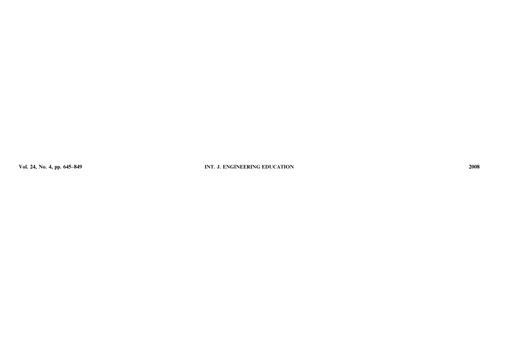Vol. 24, No. 4, pp. 645–849 INT. J. ENGINEERING EDUCATION 2008